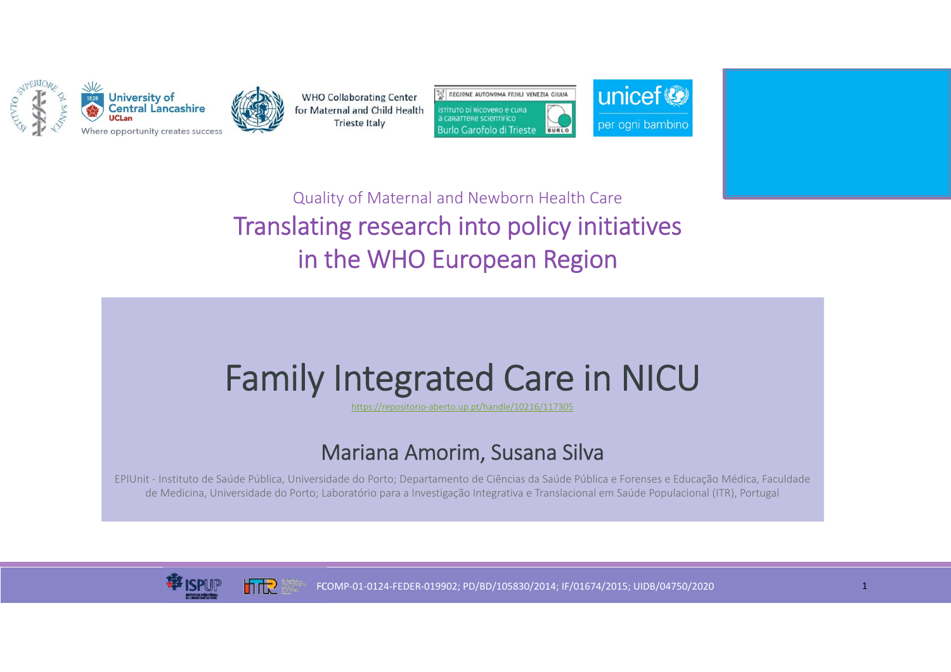



**WHO Collaborating Center** for Maternal and Child Health **Trieste Italy** 





Quality of Maternal and Newborn Health Care Translating research into policy initiatives in the WHO European Region

## Family Integrated Care in NICU

https://repositorio‐aberto.up.pt/handle/10216/117305

## Mariana Amorim, Susana Silva

EPIUnit ‐ Instituto de Saúde Pública, Universidade do Porto; Departamento de Ciências da Saúde Pública e Forenses e Educação Médica, Faculdade de Medicina, Universidade do Porto; Laboratório para a Investigação Integrativa e Translacional em Saúde Populacional (ITR), Portugal



**Inite** 

FCOMP‐01‐0124‐FEDER‐019902; PD/BD/105830/2014; IF/01674/2015; UIDB/04750/2020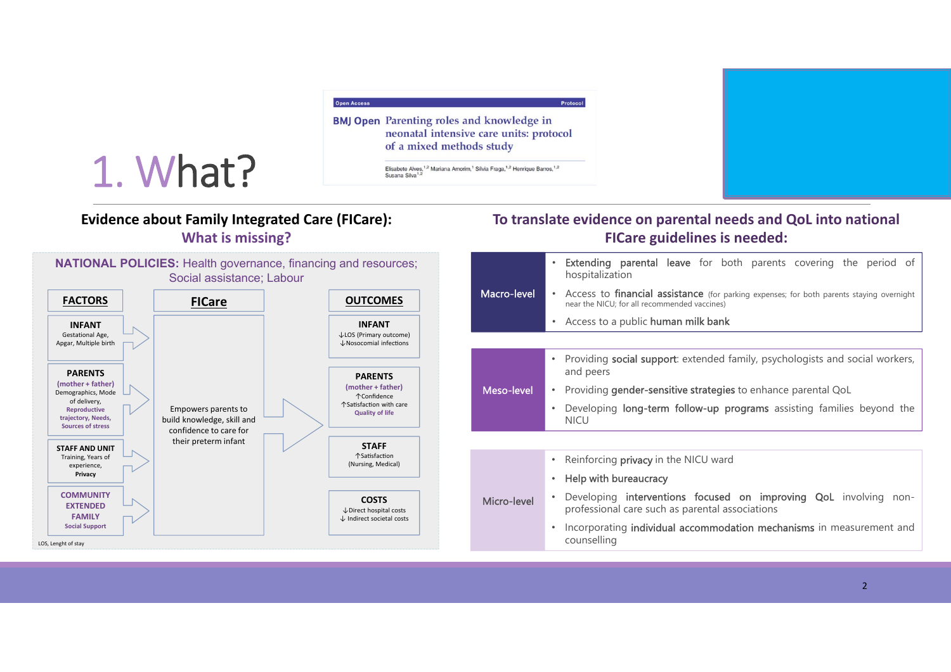

### **Evidence about Family Integrated Care (FICare): What is missing?**

1. What?

#### **To translate evidence on parental needs and QoL into national FICare guidelines is needed:**

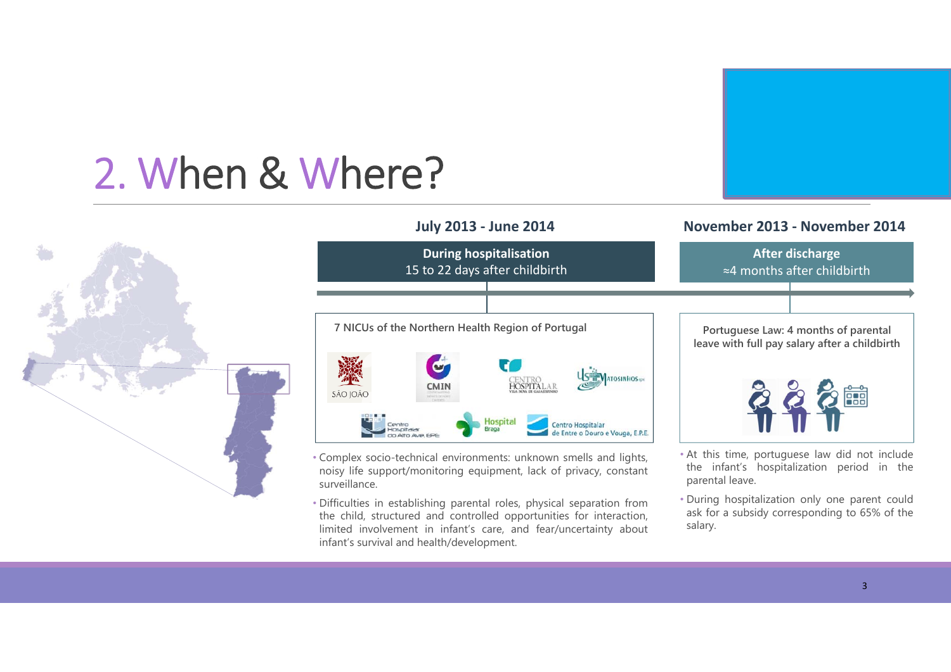# 2. When & Where?

![](_page_2_Picture_1.jpeg)

![](_page_2_Figure_2.jpeg)

**July 2013 ‐ June 2014 November 2013 ‐ November 2014**

- Complex socio-technical environments: unknown smells and lights, noisy life support/monitoring equipment, lack of privacy, constant surveillance.
- Difficulties in establishing parental roles, physical separation from the child, structured and controlled opportunities for interaction, limited involvement in infant's care, and fear/uncertainty about infant's survival and health/development.
- During hospitalization only one parent could ask for <sup>a</sup> subsidy corresponding to 65% of the salary.

parental leave.

the infant's hospitalization period in the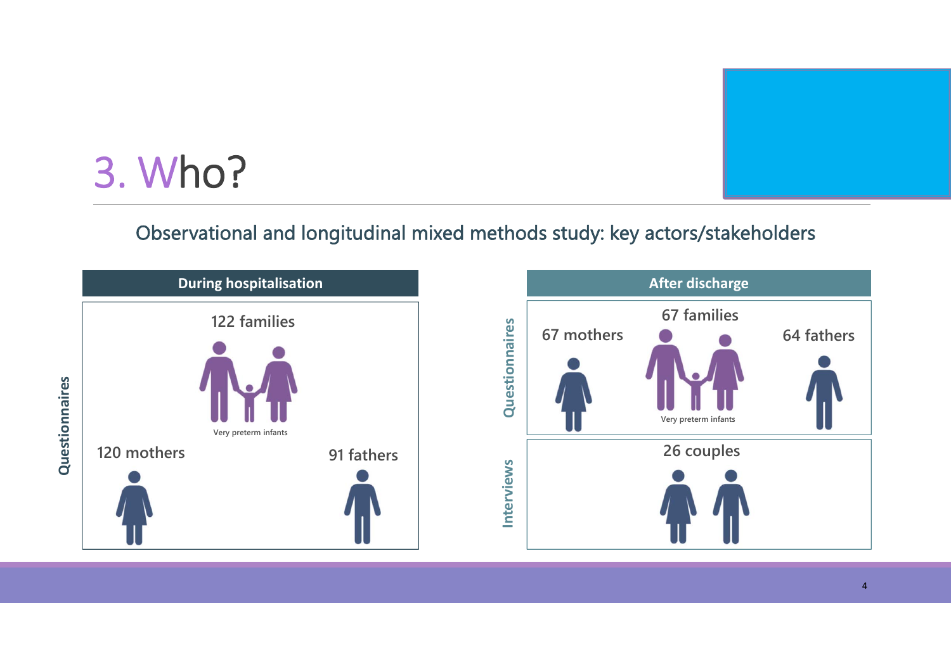![](_page_3_Picture_0.jpeg)

## 3. Who?

### Observational and longitudinal mixed methods study: key actors/stakeholders

![](_page_3_Figure_3.jpeg)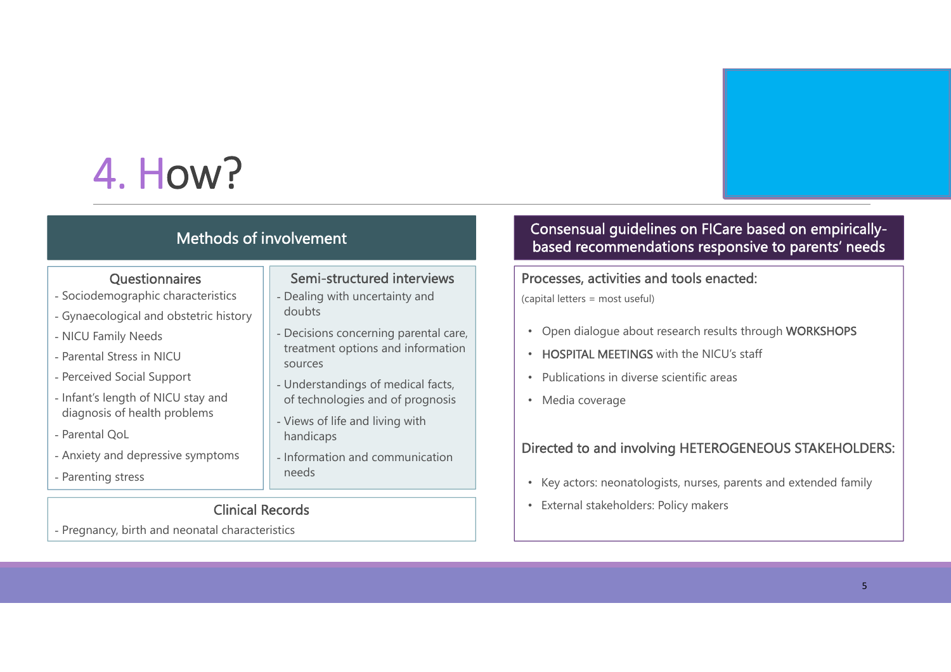## 4. How?

#### Methods of involvement

#### **Questionnaires**

- Sociodemographic characteristics
- Gynaecological and obstetric history
- NICU Family Needs
- Parental Stress in NICU
- Perceived Social Support
- Infant's length of NICU stay and diagnosis of health problems
- Parental QoL
- Anxiety and depressive symptoms
- Parenting stress

#### Clinical Records

- Pregnancy, birth and neonatal characteristics

#### Semi-structured interviews

- Dealing with uncertainty and doubts
- Decisions concerning parental care, treatment options and information sources
- Understandings of medical facts, of technologies and of prognosis
- Views of life and living with handicaps
- Information and communication needs

#### Consensual guidelines on FICare based on empiricallybased recommendations responsive to parents' needs

#### Processes, activities and tools enacted:

(capital letters = most useful)

- Open dialogue about research results through WORKSHOPS
- HOSPITAL MEETINGS with the NICU's staff
- •Publications in diverse scientific areas
- Media coverage

#### Directed to and involving HETEROGENEOUS STAKEHOLDERS:

- Key actors: neonatologists, nurses, parents and extended family
- External stakeholders: Policy makers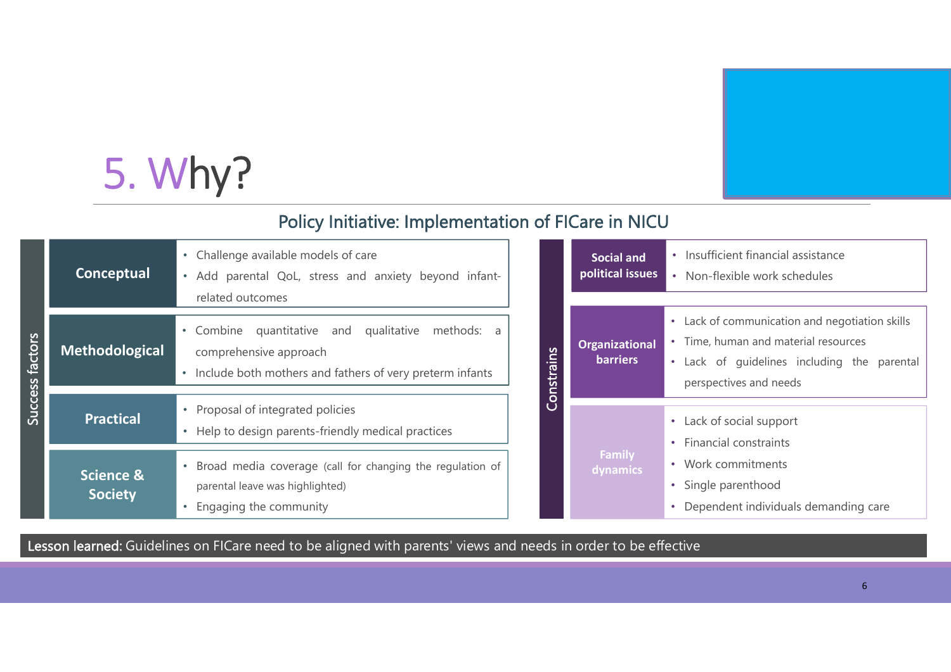# 5. Why?

### Policy Initiative: Implementation of FICare in NICU

| factors<br>Success | Conceptual                             | Challenge available models of care<br>Add parental QoL, stress and anxiety beyond infant-<br>related outcomes                                       |
|--------------------|----------------------------------------|-----------------------------------------------------------------------------------------------------------------------------------------------------|
|                    | <b>Methodological</b>                  | • Combine<br>quantitative and<br>qualitative<br>methods:<br>a<br>comprehensive approach<br>Include both mothers and fathers of very preterm infants |
|                    | <b>Practical</b>                       | Proposal of integrated policies<br>Help to design parents-friendly medical practices                                                                |
|                    | <b>Science &amp;</b><br><b>Society</b> | Broad media coverage (call for changing the regulation of<br>parental leave was highlighted)<br>Engaging the community                              |

|            | <b>Social and</b><br>political issues    | Insufficient financial assistance<br>• Non-flexible work schedules |
|------------|------------------------------------------|--------------------------------------------------------------------|
|            |                                          |                                                                    |
|            | <b>Organizational</b><br><b>barriers</b> | Lack of communication and negotiation skills                       |
|            |                                          | Time, human and material resources                                 |
|            |                                          | • Lack of guidelines including the parental                        |
| Constrains |                                          | perspectives and needs                                             |
|            |                                          | • Lack of social support                                           |
|            |                                          | <b>Financial constraints</b><br>٠                                  |
|            | <b>Family</b><br>dynamics                |                                                                    |
|            |                                          | Work commitments                                                   |
|            |                                          | Single parenthood                                                  |
|            |                                          | Dependent individuals demanding care                               |

Lesson learned: Guidelines on FICare need to be aligned with parents' views and needs in order to be effective